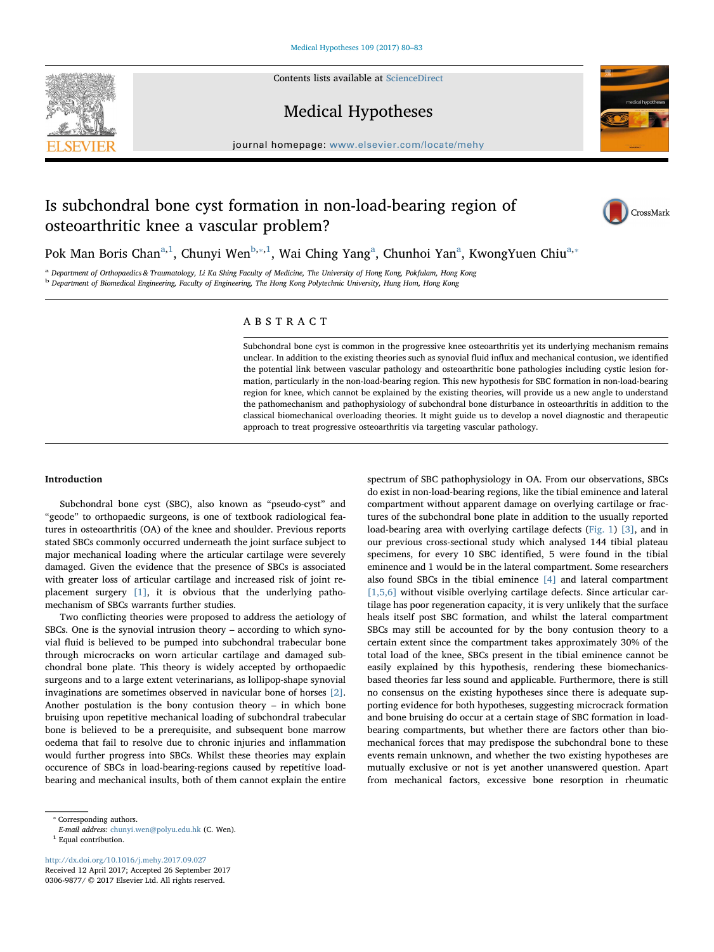

## Medical Hypotheses



journal homepage: [www.elsevier.com/locate/mehy](https://www.elsevier.com/locate/mehy)/ $\frac{1}{\sqrt{N}}$ 

# Is subchondral bone cyst formation in non-load-bearing region of osteoarthritic knee a vascular problem?



Pok M[a](#page-0-0)n Boris Chan<sup>a[,1](#page-0-1)</sup>, Chunyi Wen<sup>b,</sup>\*,<sup>[1](#page-0-1)</sup>, Wai Ching Yang<sup>a</sup>, Chunhoi Yan<sup>a</sup>, KwongYuen Chiu<sup>[a,](#page-0-0)\*</sup>

<span id="page-0-2"></span><span id="page-0-0"></span><sup>a</sup> Department of Orthopaedics & Traumatology, Li Ka Shing Faculty of Medicine, The University of Hong Kong, Pokfulam, Hong Kong <sup>b</sup> Department of Biomedical Engineering, Faculty of Engineering, The Hong Kong Polytechnic University, Hung Hom, Hong Kong

## ABSTRACT

Subchondral bone cyst is common in the progressive knee osteoarthritis yet its underlying mechanism remains unclear. In addition to the existing theories such as synovial fluid influx and mechanical contusion, we identified the potential link between vascular pathology and osteoarthritic bone pathologies including cystic lesion formation, particularly in the non-load-bearing region. This new hypothesis for SBC formation in non-load-bearing region for knee, which cannot be explained by the existing theories, will provide us a new angle to understand the pathomechanism and pathophysiology of subchondral bone disturbance in osteoarthritis in addition to the classical biomechanical overloading theories. It might guide us to develop a novel diagnostic and therapeutic approach to treat progressive osteoarthritis via targeting vascular pathology.

## Introduction

Subchondral bone cyst (SBC), also known as "pseudo-cyst" and "geode" to orthopaedic surgeons, is one of textbook radiological features in osteoarthritis (OA) of the knee and shoulder. Previous reports stated SBCs commonly occurred underneath the joint surface subject to major mechanical loading where the articular cartilage were severely damaged. Given the evidence that the presence of SBCs is associated with greater loss of articular cartilage and increased risk of joint replacement surgery [\[1\],](#page-3-0) it is obvious that the underlying pathomechanism of SBCs warrants further studies.

Two conflicting theories were proposed to address the aetiology of SBCs. One is the synovial intrusion theory – according to which synovial fluid is believed to be pumped into subchondral trabecular bone through microcracks on worn articular cartilage and damaged subchondral bone plate. This theory is widely accepted by orthopaedic surgeons and to a large extent veterinarians, as lollipop-shape synovial invaginations are sometimes observed in navicular bone of horses [\[2\]](#page-3-1). Another postulation is the bony contusion theory – in which bone bruising upon repetitive mechanical loading of subchondral trabecular bone is believed to be a prerequisite, and subsequent bone marrow oedema that fail to resolve due to chronic injuries and inflammation would further progress into SBCs. Whilst these theories may explain occurence of SBCs in load-bearing-regions caused by repetitive loadbearing and mechanical insults, both of them cannot explain the entire spectrum of SBC pathophysiology in OA. From our observations, SBCs do exist in non-load-bearing regions, like the tibial eminence and lateral compartment without apparent damage on overlying cartilage or fractures of the subchondral bone plate in addition to the usually reported load-bearing area with overlying cartilage defects ([Fig. 1](#page-1-0)) [\[3\]](#page-3-2), and in our previous cross-sectional study which analysed 144 tibial plateau specimens, for every 10 SBC identified, 5 were found in the tibial eminence and 1 would be in the lateral compartment. Some researchers also found SBCs in the tibial eminence [\[4\]](#page-3-3) and lateral compartment [\[1,5,6\]](#page-3-0) without visible overlying cartilage defects. Since articular cartilage has poor regeneration capacity, it is very unlikely that the surface heals itself post SBC formation, and whilst the lateral compartment SBCs may still be accounted for by the bony contusion theory to a certain extent since the compartment takes approximately 30% of the total load of the knee, SBCs present in the tibial eminence cannot be easily explained by this hypothesis, rendering these biomechanicsbased theories far less sound and applicable. Furthermore, there is still no consensus on the existing hypotheses since there is adequate supporting evidence for both hypotheses, suggesting microcrack formation and bone bruising do occur at a certain stage of SBC formation in loadbearing compartments, but whether there are factors other than biomechanical forces that may predispose the subchondral bone to these events remain unknown, and whether the two existing hypotheses are mutually exclusive or not is yet another unanswered question. Apart from mechanical factors, excessive bone resorption in rheumatic

<span id="page-0-3"></span>⁎ Corresponding authors.

<span id="page-0-1"></span> $^{\rm 1}$  Equal contribution.

<http://dx.doi.org/10.1016/j.mehy.2017.09.027> Received 12 April 2017; Accepted 26 September 2017 0306-9877/ © 2017 Elsevier Ltd. All rights reserved.

E-mail address: [chunyi.wen@polyu.edu.hk](mailto:chunyi.wen@polyu.edu.hk) (C. Wen).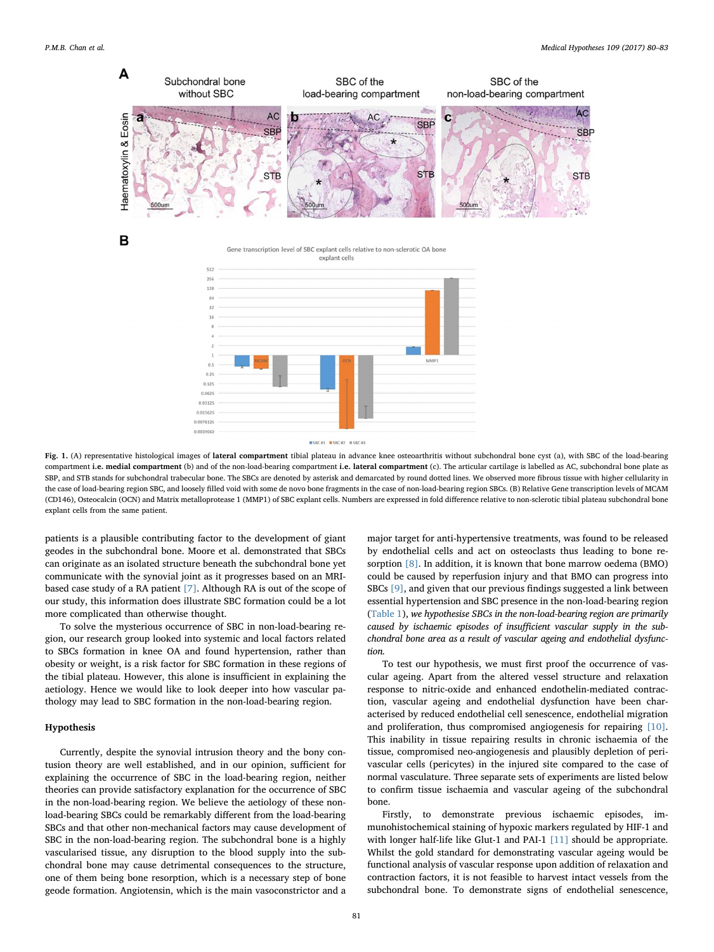<span id="page-1-0"></span>

explant cells



Fig. 1. (A) representative histological images of lateral compartment tibial plateau in advance knee osteoarthritis without subchondral bone cyst (a), with SBC of the load-bearing compartment i.e. medial compartment (b) and of the non-load-bearing compartment i.e. lateral compartment (c). The articular cartilage is labelled as AC, subchondral bone plate as SBP, and STB stands for subchondral trabecular bone. The SBCs are denoted by asterisk and demarcated by round dotted lines. We observed more fibrous tissue with higher cellularity in the case of load-bearing region SBC, and loosely filled void with some de novo bone fragments in the case of non-load-bearing region SBCs. (B) Relative Gene transcription levels of MCAM (CD146), Osteocalcin (OCN) and Matrix metalloprotease 1 (MMP1) of SBC explant cells. Numbers are expressed in fold difference relative to non-sclerotic tibial plateau subchondral bone explant cells from the same patient.

patients is a plausible contributing factor to the development of giant geodes in the subchondral bone. Moore et al. demonstrated that SBCs can originate as an isolated structure beneath the subchondral bone yet communicate with the synovial joint as it progresses based on an MRIbased case study of a RA patient [\[7\]](#page-3-4). Although RA is out of the scope of our study, this information does illustrate SBC formation could be a lot more complicated than otherwise thought.

To solve the mysterious occurrence of SBC in non-load-bearing region, our research group looked into systemic and local factors related to SBCs formation in knee OA and found hypertension, rather than obesity or weight, is a risk factor for SBC formation in these regions of the tibial plateau. However, this alone is insufficient in explaining the aetiology. Hence we would like to look deeper into how vascular pathology may lead to SBC formation in the non-load-bearing region.

## Hypothesis

Currently, despite the synovial intrusion theory and the bony contusion theory are well established, and in our opinion, sufficient for explaining the occurrence of SBC in the load-bearing region, neither theories can provide satisfactory explanation for the occurrence of SBC in the non-load-bearing region. We believe the aetiology of these nonload-bearing SBCs could be remarkably different from the load-bearing SBCs and that other non-mechanical factors may cause development of SBC in the non-load-bearing region. The subchondral bone is a highly vascularised tissue, any disruption to the blood supply into the subchondral bone may cause detrimental consequences to the structure, one of them being bone resorption, which is a necessary step of bone geode formation. Angiotensin, which is the main vasoconstrictor and a

major target for anti-hypertensive treatments, was found to be released by endothelial cells and act on osteoclasts thus leading to bone resorption [\[8\]](#page-3-5). In addition, it is known that bone marrow oedema (BMO) could be caused by reperfusion injury and that BMO can progress into SBCs [\[9\],](#page-3-6) and given that our previous findings suggested a link between essential hypertension and SBC presence in the non-load-bearing region ([Table 1\)](#page-2-0), we hypothesise SBCs in the non-load-bearing region are primarily caused by ischaemic episodes of insufficient vascular supply in the subchondral bone area as a result of vascular ageing and endothelial dysfunction.

To test our hypothesis, we must first proof the occurrence of vascular ageing. Apart from the altered vessel structure and relaxation response to nitric-oxide and enhanced endothelin-mediated contraction, vascular ageing and endothelial dysfunction have been characterised by reduced endothelial cell senescence, endothelial migration and proliferation, thus compromised angiogenesis for repairing [\[10\]](#page-3-7). This inability in tissue repairing results in chronic ischaemia of the tissue, compromised neo-angiogenesis and plausibly depletion of perivascular cells (pericytes) in the injured site compared to the case of normal vasculature. Three separate sets of experiments are listed below to confirm tissue ischaemia and vascular ageing of the subchondral bone.

Firstly, to demonstrate previous ischaemic episodes, immunohistochemical staining of hypoxic markers regulated by HIF-1 and with longer half-life like Glut-1 and PAI-1 [\[11\]](#page-3-8) should be appropriate. Whilst the gold standard for demonstrating vascular ageing would be functional analysis of vascular response upon addition of relaxation and contraction factors, it is not feasible to harvest intact vessels from the subchondral bone. To demonstrate signs of endothelial senescence,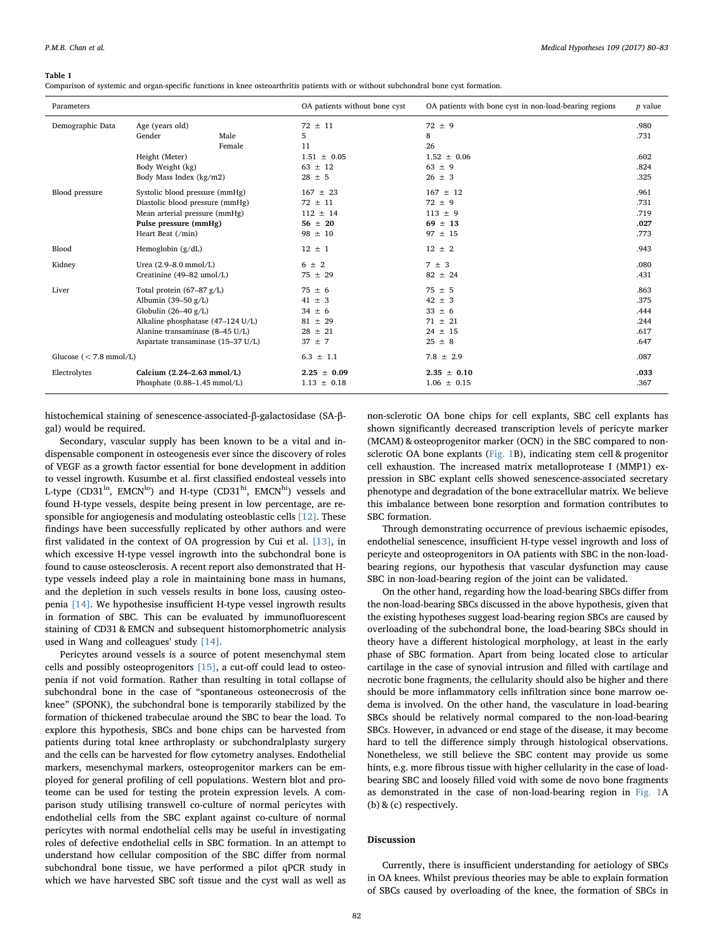#### <span id="page-2-0"></span>Table 1

Comparison of systemic and organ-specific functions in knee osteoarthritis patients with or without subchondral bone cyst formation.

| Parameters               |                                                                                            |                | OA patients without bone cyst                                          | OA patients with bone cyst in non-load-bearing regions               | <i>p</i> value                       |
|--------------------------|--------------------------------------------------------------------------------------------|----------------|------------------------------------------------------------------------|----------------------------------------------------------------------|--------------------------------------|
| Demographic Data         | Age (years old)<br>Gender<br>Height (Meter)<br>Body Weight (kg)<br>Body Mass Index (kg/m2) | Male<br>Female | $72 \pm 11$<br>5<br>11<br>$1.51 \pm 0.05$<br>$63 \pm 12$<br>$28 \pm 5$ | $72 \pm 9$<br>8<br>26<br>$1.52 \pm 0.06$<br>$63 \pm 9$<br>$26 \pm 3$ | .980<br>.731<br>.602<br>.824<br>.325 |
| Blood pressure           | Systolic blood pressure (mmHg)                                                             |                | $167 \pm 23$                                                           | $167 \pm 12$                                                         | .961                                 |
|                          | Diastolic blood pressure (mmHg)                                                            |                | $72 \pm 11$                                                            | $72 \pm 9$                                                           | .731                                 |
|                          | Mean arterial pressure (mmHg)                                                              |                | $112 \pm 14$                                                           | $113 \pm 9$                                                          | .719                                 |
|                          | Pulse pressure (mmHg)                                                                      |                | $56 \pm 20$                                                            | $69 \pm 13$                                                          | .027                                 |
|                          | Heart Beat (/min)                                                                          |                | $98 \pm 10$                                                            | $97 \pm 15$                                                          | .773                                 |
| Blood                    | Hemoglobin $(g/dL)$                                                                        |                | $12 \pm 1$                                                             | $12 \pm 2$                                                           | .943                                 |
| Kidney                   | Urea $(2.9 - 8.0$ mmol/L)                                                                  |                | $6 \pm 2$                                                              | $7 \pm 3$                                                            | .080                                 |
|                          | Creatinine (49-82 umol/L)                                                                  |                | $75 \pm 29$                                                            | $82 \pm 24$                                                          | .431                                 |
| Liver                    | Total protein $(67-87 g/L)$                                                                |                | $75 \pm 6$                                                             | $75 \pm 5$                                                           | .863                                 |
|                          | Albumin (39-50 $g/L$ )                                                                     |                | $41 \pm 3$                                                             | $42 \pm 3$                                                           | .375                                 |
|                          | Globulin $(26-40 g/L)$                                                                     |                | $34 \pm 6$                                                             | $33 \pm 6$                                                           | .444                                 |
|                          | Alkaline phosphatase (47-124 U/L)                                                          |                | $81 \pm 29$                                                            | $71 \pm 21$                                                          | .244                                 |
|                          | Alanine transaminase (8-45 U/L)                                                            |                | $28 \pm 21$                                                            | $24 \pm 15$                                                          | .617                                 |
|                          | Aspartate transaminase (15-37 U/L)                                                         |                | $37 \pm 7$                                                             | $25 \pm 8$                                                           | .647                                 |
| Glucose $(< 7.8$ mmol/L) |                                                                                            | $6.3 \pm 1.1$  | $7.8 \pm 2.9$                                                          | .087                                                                 |                                      |
| Electrolytes             | Calcium $(2.24-2.63$ mmol/L)                                                               |                | $2.25 \pm 0.09$                                                        | $2.35 \pm 0.10$                                                      | .033                                 |
|                          | Phosphate $(0.88-1.45$ mmol/L)                                                             |                | $1.13 \pm 0.18$                                                        | $1.06 \pm 0.15$                                                      | .367                                 |

histochemical staining of senescence-associated-β-galactosidase (SA-βgal) would be required.

Secondary, vascular supply has been known to be a vital and indispensable component in osteogenesis ever since the discovery of roles of VEGF as a growth factor essential for bone development in addition to vessel ingrowth. Kusumbe et al. first classified endosteal vessels into L-type (CD31<sup>lo</sup>, EMCN<sup>lo</sup>) and H-type (CD31<sup>hi</sup>, EMCN<sup>hi</sup>) vessels and found H-type vessels, despite being present in low percentage, are responsible for angiogenesis and modulating osteoblastic cells [\[12\]](#page-3-9). These findings have been successfully replicated by other authors and were first validated in the context of OA progression by Cui et al. [\[13\]](#page-3-10), in which excessive H-type vessel ingrowth into the subchondral bone is found to cause osteosclerosis. A recent report also demonstrated that Htype vessels indeed play a role in maintaining bone mass in humans, and the depletion in such vessels results in bone loss, causing osteopenia [\[14\]](#page-3-11). We hypothesise insufficient H-type vessel ingrowth results in formation of SBC. This can be evaluated by immunofluorescent staining of CD31 & EMCN and subsequent histomorphometric analysis used in Wang and colleagues' study [\[14\]](#page-3-11).

Pericytes around vessels is a source of potent mesenchymal stem cells and possibly osteoprogenitors [\[15\]](#page-3-12), a cut-off could lead to osteopenia if not void formation. Rather than resulting in total collapse of subchondral bone in the case of "spontaneous osteonecrosis of the knee" (SPONK), the subchondral bone is temporarily stabilized by the formation of thickened trabeculae around the SBC to bear the load. To explore this hypothesis, SBCs and bone chips can be harvested from patients during total knee arthroplasty or subchondralplasty surgery and the cells can be harvested for flow cytometry analyses. Endothelial markers, mesenchymal markers, osteoprogenitor markers can be employed for general profiling of cell populations. Western blot and proteome can be used for testing the protein expression levels. A comparison study utilising transwell co-culture of normal pericytes with endothelial cells from the SBC explant against co-culture of normal pericytes with normal endothelial cells may be useful in investigating roles of defective endothelial cells in SBC formation. In an attempt to understand how cellular composition of the SBC differ from normal subchondral bone tissue, we have performed a pilot qPCR study in which we have harvested SBC soft tissue and the cyst wall as well as

non-sclerotic OA bone chips for cell explants, SBC cell explants has shown significantly decreased transcription levels of pericyte marker (MCAM) & osteoprogenitor marker (OCN) in the SBC compared to nonsclerotic OA bone explants [\(Fig. 1B](#page-1-0)), indicating stem cell & progenitor cell exhaustion. The increased matrix metalloprotease I (MMP1) expression in SBC explant cells showed senescence-associated secretary phenotype and degradation of the bone extracellular matrix. We believe this imbalance between bone resorption and formation contributes to SBC formation.

Through demonstrating occurrence of previous ischaemic episodes, endothelial senescence, insufficient H-type vessel ingrowth and loss of pericyte and osteoprogenitors in OA patients with SBC in the non-loadbearing regions, our hypothesis that vascular dysfunction may cause SBC in non-load-bearing region of the joint can be validated.

On the other hand, regarding how the load-bearing SBCs differ from the non-load-bearing SBCs discussed in the above hypothesis, given that the existing hypotheses suggest load-bearing region SBCs are caused by overloading of the subchondral bone, the load-bearing SBCs should in theory have a different histological morphology, at least in the early phase of SBC formation. Apart from being located close to articular cartilage in the case of synovial intrusion and filled with cartilage and necrotic bone fragments, the cellularity should also be higher and there should be more inflammatory cells infiltration since bone marrow oedema is involved. On the other hand, the vasculature in load-bearing SBCs should be relatively normal compared to the non-load-bearing SBCs. However, in advanced or end stage of the disease, it may become hard to tell the difference simply through histological observations. Nonetheless, we still believe the SBC content may provide us some hints, e.g. more fibrous tissue with higher cellularity in the case of loadbearing SBC and loosely filled void with some de novo bone fragments as demonstrated in the case of non-load-bearing region in [Fig. 1](#page-1-0)A (b) & (c) respectively.

#### Discussion

Currently, there is insufficient understanding for aetiology of SBCs in OA knees. Whilst previous theories may be able to explain formation of SBCs caused by overloading of the knee, the formation of SBCs in